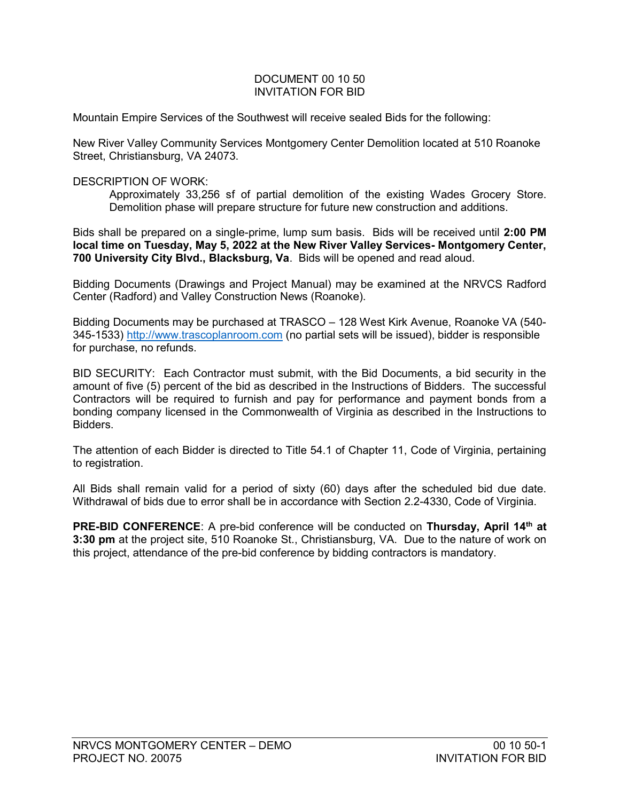## DOCUMENT 00 10 50 INVITATION FOR BID

Mountain Empire Services of the Southwest will receive sealed Bids for the following:

New River Valley Community Services Montgomery Center Demolition located at 510 Roanoke Street, Christiansburg, VA 24073.

## DESCRIPTION OF WORK:

Approximately 33,256 sf of partial demolition of the existing Wades Grocery Store. Demolition phase will prepare structure for future new construction and additions.

Bids shall be prepared on a single-prime, lump sum basis. Bids will be received until 2:00 PM local time on Tuesday, May 5, 2022 at the New River Valley Services- Montgomery Center, 700 University City Blvd., Blacksburg, Va. Bids will be opened and read aloud.

Bidding Documents (Drawings and Project Manual) may be examined at the NRVCS Radford Center (Radford) and Valley Construction News (Roanoke).

Bidding Documents may be purchased at TRASCO – 128 West Kirk Avenue, Roanoke VA (540- 345-1533) http://www.trascoplanroom.com (no partial sets will be issued), bidder is responsible for purchase, no refunds.

BID SECURITY: Each Contractor must submit, with the Bid Documents, a bid security in the amount of five (5) percent of the bid as described in the Instructions of Bidders. The successful Contractors will be required to furnish and pay for performance and payment bonds from a bonding company licensed in the Commonwealth of Virginia as described in the Instructions to Bidders.

The attention of each Bidder is directed to Title 54.1 of Chapter 11, Code of Virginia, pertaining to registration.

All Bids shall remain valid for a period of sixty (60) days after the scheduled bid due date. Withdrawal of bids due to error shall be in accordance with Section 2.2-4330, Code of Virginia.

PRE-BID CONFERENCE: A pre-bid conference will be conducted on Thursday, April 14<sup>th</sup> at 3:30 pm at the project site, 510 Roanoke St., Christiansburg, VA. Due to the nature of work on this project, attendance of the pre-bid conference by bidding contractors is mandatory.